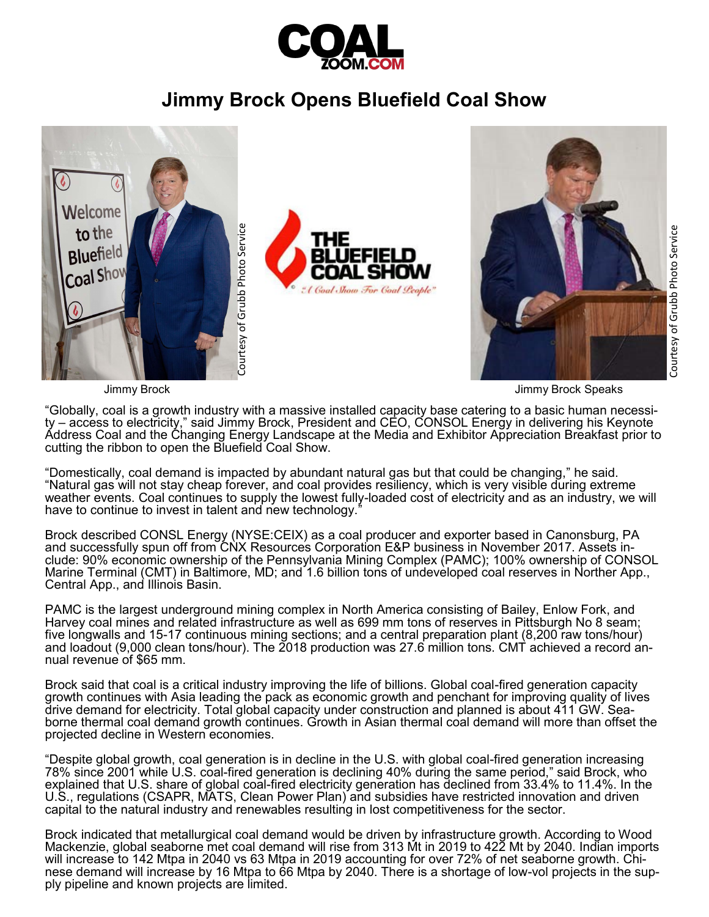

## **Jimmy Brock Opens Bluefield Coal Show**



Jimmy Brock Jimmy Brock Speaks

"Globally, coal is a growth industry with a massive installed capacity base catering to a basic human necessity – access to electricity," said Jimmy Brock, President and CEO, CONSOL Energy in delivering his Keynote Address Coal and the Changing Energy Landscape at the Media and Exhibitor Appreciation Breakfast prior to cutting the ribbon to open the Bluefield Coal Show.

"Domestically, coal demand is impacted by abundant natural gas but that could be changing," he said. "Natural gas will not stay cheap forever, and coal provides resiliency, which is very visible during extreme weather events. Coal continues to supply the lowest fully-loaded cost of electricity and as an industry, we will have to continue to invest in talent and new technology.<sup>1</sup>

Brock described CONSL Energy (NYSE:CEIX) as a coal producer and exporter based in Canonsburg, PA and successfully spun off from CNX Resources Corporation E&P business in November 2017. Assets include: 90% economic ownership of the Pennsylvania Mining Complex (PAMC); 100% ownership of CONSOL Marine Terminal (CMT) in Baltimore, MD; and 1.6 billion tons of undeveloped coal reserves in Norther App., Central App., and Illinois Basin.

PAMC is the largest underground mining complex in North America consisting of Bailey, Enlow Fork, and Harvey coal mines and related infrastructure as well as 699 mm tons of reserves in Pittsburgh No 8 seam; five longwalls and 15-17 continuous mining sections; and a central preparation plant (8,200 raw tons/hour) and loadout (9,000 clean tons/hour). The 2018 production was 27.6 million tons. CMT achieved a record annual revenue of \$65 mm.

Brock said that coal is a critical industry improving the life of billions. Global coal-fired generation capacity growth continues with Asia leading the pack as economic growth and penchant for improving quality of lives drive demand for electricity. Total global capacity under construction and planned is about 411 GW. Seaborne thermal coal demand growth continues. Growth in Asian thermal coal demand will more than offset the projected decline in Western economies.

"Despite global growth, coal generation is in decline in the U.S. with global coal-fired generation increasing 78% since 2001 while U.S. coal-fired generation is declining 40% during the same period," said Brock, who explained that U.S. share of global coal-fired electricity generation has declined from 33.4% to 11.4%. In the U.S., regulations (CSAPR, MATS, Clean Power Plan) and subsidies have restricted innovation and driven capital to the natural industry and renewables resulting in lost competitiveness for the sector.

Brock indicated that metallurgical coal demand would be driven by infrastructure growth. According to Wood Mackenzie, global seaborne met coal demand will rise from 313 Mt in 2019 to 422 Mt by 2040. Indian imports will increase to 142 Mtpa in 2040 vs 63 Mtpa in 2019 accounting for over 72% of net seaborne growth. Chinese demand will increase by 16 Mtpa to 66 Mtpa by 2040. There is a shortage of low-vol projects in the sup-<br>ply pipeline and known projects are limited.